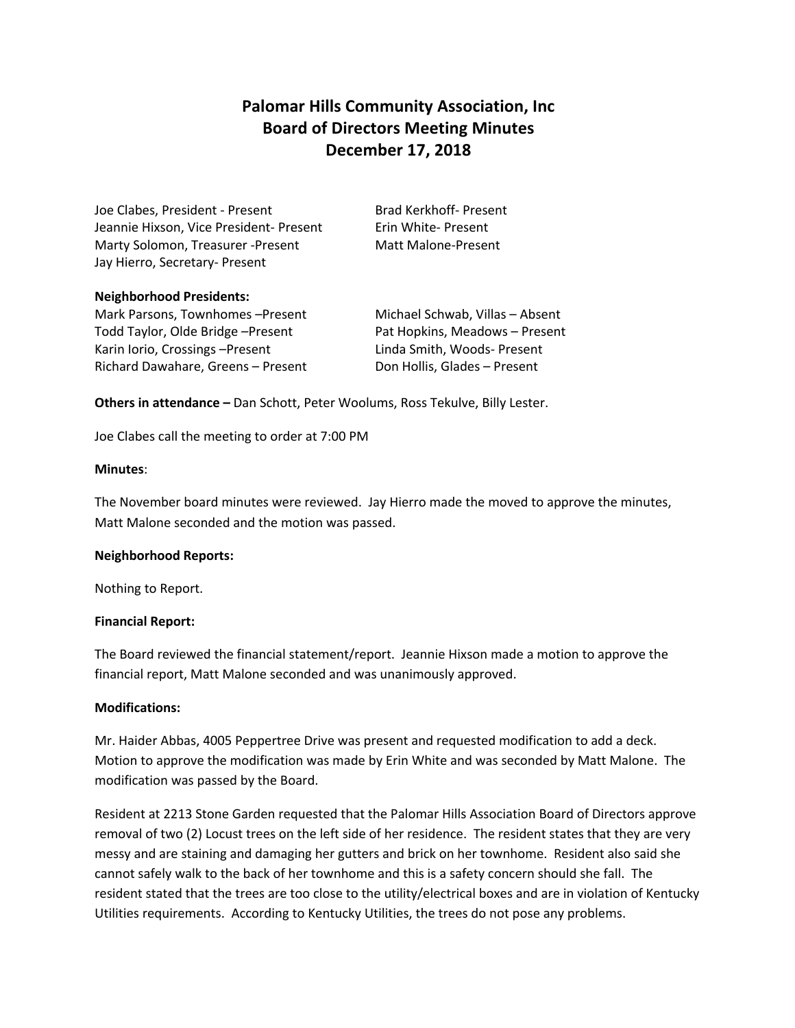# **Palomar Hills Community Association, Inc Board of Directors Meeting Minutes December 17, 2018**

Joe Clabes, President - Present Brad Kerkhoff- Present Jeannie Hixson, Vice President- Present Frin White- Present Marty Solomon, Treasurer -Present Matt Malone-Present Jay Hierro, Secretary- Present

#### **Neighborhood Presidents:**

Mark Parsons, Townhomes –Present Michael Schwab, Villas – Absent Todd Taylor, Olde Bridge –Present Pat Hopkins, Meadows – Present Karin Iorio, Crossings - Present Linda Smith, Woods- Present Richard Dawahare, Greens – Present Don Hollis, Glades – Present

**Others in attendance –** Dan Schott, Peter Woolums, Ross Tekulve, Billy Lester.

Joe Clabes call the meeting to order at 7:00 PM

#### **Minutes**:

The November board minutes were reviewed. Jay Hierro made the moved to approve the minutes, Matt Malone seconded and the motion was passed.

#### **Neighborhood Reports:**

Nothing to Report.

## **Financial Report:**

The Board reviewed the financial statement/report. Jeannie Hixson made a motion to approve the financial report, Matt Malone seconded and was unanimously approved.

## **Modifications:**

Mr. Haider Abbas, 4005 Peppertree Drive was present and requested modification to add a deck. Motion to approve the modification was made by Erin White and was seconded by Matt Malone. The modification was passed by the Board.

Resident at 2213 Stone Garden requested that the Palomar Hills Association Board of Directors approve removal of two (2) Locust trees on the left side of her residence. The resident states that they are very messy and are staining and damaging her gutters and brick on her townhome. Resident also said she cannot safely walk to the back of her townhome and this is a safety concern should she fall. The resident stated that the trees are too close to the utility/electrical boxes and are in violation of Kentucky Utilities requirements. According to Kentucky Utilities, the trees do not pose any problems.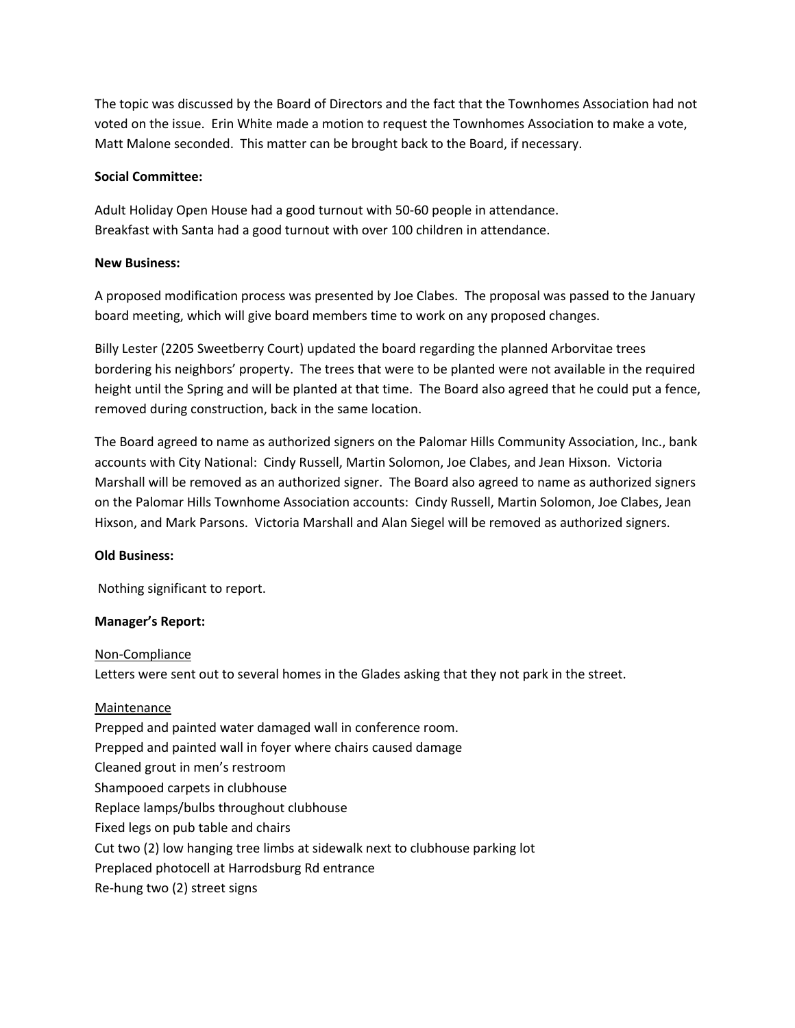The topic was discussed by the Board of Directors and the fact that the Townhomes Association had not voted on the issue. Erin White made a motion to request the Townhomes Association to make a vote, Matt Malone seconded. This matter can be brought back to the Board, if necessary.

#### **Social Committee:**

Adult Holiday Open House had a good turnout with 50-60 people in attendance. Breakfast with Santa had a good turnout with over 100 children in attendance.

## **New Business:**

A proposed modification process was presented by Joe Clabes. The proposal was passed to the January board meeting, which will give board members time to work on any proposed changes.

Billy Lester (2205 Sweetberry Court) updated the board regarding the planned Arborvitae trees bordering his neighbors' property. The trees that were to be planted were not available in the required height until the Spring and will be planted at that time. The Board also agreed that he could put a fence, removed during construction, back in the same location.

The Board agreed to name as authorized signers on the Palomar Hills Community Association, Inc., bank accounts with City National: Cindy Russell, Martin Solomon, Joe Clabes, and Jean Hixson. Victoria Marshall will be removed as an authorized signer. The Board also agreed to name as authorized signers on the Palomar Hills Townhome Association accounts: Cindy Russell, Martin Solomon, Joe Clabes, Jean Hixson, and Mark Parsons. Victoria Marshall and Alan Siegel will be removed as authorized signers.

## **Old Business:**

Nothing significant to report.

## **Manager's Report:**

Non-Compliance Letters were sent out to several homes in the Glades asking that they not park in the street.

## Maintenance

Prepped and painted water damaged wall in conference room. Prepped and painted wall in foyer where chairs caused damage Cleaned grout in men's restroom Shampooed carpets in clubhouse Replace lamps/bulbs throughout clubhouse Fixed legs on pub table and chairs Cut two (2) low hanging tree limbs at sidewalk next to clubhouse parking lot Preplaced photocell at Harrodsburg Rd entrance Re-hung two (2) street signs